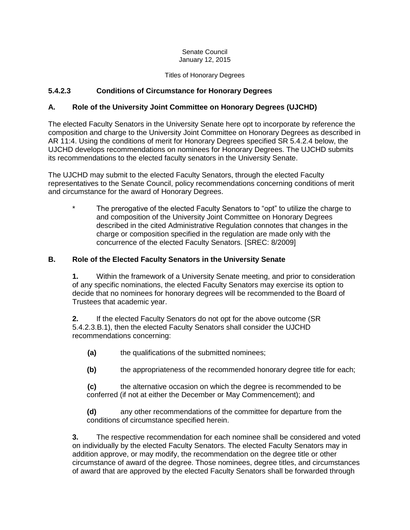#### Senate Council January 12, 2015

#### Titles of Honorary Degrees

## **5.4.2.3 Conditions of Circumstance for Honorary Degrees**

### **A. Role of the University Joint Committee on Honorary Degrees (UJCHD)**

The elected Faculty Senators in the University Senate here opt to incorporate by reference the composition and charge to the University Joint Committee on Honorary Degrees as described in AR 11:4. Using the conditions of merit for Honorary Degrees specified SR 5.4.2.4 below, the UJCHD develops recommendations on nominees for Honorary Degrees. The UJCHD submits its recommendations to the elected faculty senators in the University Senate.

The UJCHD may submit to the elected Faculty Senators, through the elected Faculty representatives to the Senate Council, policy recommendations concerning conditions of merit and circumstance for the award of Honorary Degrees.

The prerogative of the elected Faculty Senators to "opt" to utilize the charge to and composition of the University Joint Committee on Honorary Degrees described in the cited Administrative Regulation connotes that changes in the charge or composition specified in the regulation are made only with the concurrence of the elected Faculty Senators. [SREC: 8/2009]

### **B. Role of the Elected Faculty Senators in the University Senate**

**1.** Within the framework of a University Senate meeting, and prior to consideration of any specific nominations, the elected Faculty Senators may exercise its option to decide that no nominees for honorary degrees will be recommended to the Board of Trustees that academic year.

**2.** If the elected Faculty Senators do not opt for the above outcome (SR 5.4.2.3.B.1), then the elected Faculty Senators shall consider the UJCHD recommendations concerning:

- **(a)** the qualifications of the submitted nominees;
- **(b)** the appropriateness of the recommended honorary degree title for each;

**(c)** the alternative occasion on which the degree is recommended to be conferred (if not at either the December or May Commencement); and

**(d)** any other recommendations of the committee for departure from the conditions of circumstance specified herein.

**3.** The respective recommendation for each nominee shall be considered and voted on individually by the elected Faculty Senators. The elected Faculty Senators may in addition approve, or may modify, the recommendation on the degree title or other circumstance of award of the degree. Those nominees, degree titles, and circumstances of award that are approved by the elected Faculty Senators shall be forwarded through